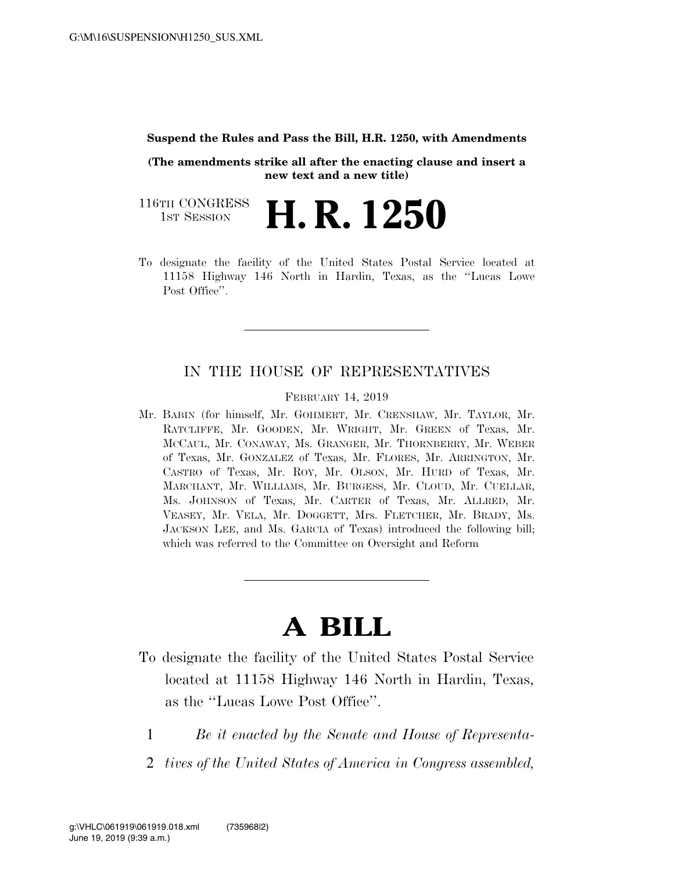## **Suspend the Rules and Pass the Bill, H.R. 1250, with Amendments**

**(The amendments strike all after the enacting clause and insert a new text and a new title)** 

116TH CONGRESS **1st Session H. R. 1250** 

To designate the facility of the United States Postal Service located at 11158 Highway 146 North in Hardin, Texas, as the ''Lucas Lowe Post Office".

## IN THE HOUSE OF REPRESENTATIVES

FEBRUARY 14, 2019

Mr. BABIN (for himself, Mr. GOHMERT, Mr. CRENSHAW, Mr. TAYLOR, Mr. RATCLIFFE, Mr. GOODEN, Mr. WRIGHT, Mr. GREEN of Texas, Mr. MCCAUL, Mr. CONAWAY, Ms. GRANGER, Mr. THORNBERRY, Mr. WEBER of Texas, Mr. GONZALEZ of Texas, Mr. FLORES, Mr. ARRINGTON, Mr. CASTRO of Texas, Mr. ROY, Mr. OLSON, Mr. HURD of Texas, Mr. MARCHANT, Mr. WILLIAMS, Mr. BURGESS, Mr. CLOUD, Mr. CUELLAR, Ms. JOHNSON of Texas, Mr. CARTER of Texas, Mr. ALLRED, Mr. VEASEY, Mr. VELA, Mr. DOGGETT, Mrs. FLETCHER, Mr. BRADY, Ms. JACKSON LEE, and Ms. GARCIA of Texas) introduced the following bill; which was referred to the Committee on Oversight and Reform

## **A BILL**

- To designate the facility of the United States Postal Service located at 11158 Highway 146 North in Hardin, Texas, as the ''Lucas Lowe Post Office''.
	- 1 *Be it enacted by the Senate and House of Representa-*
	- 2 *tives of the United States of America in Congress assembled,*